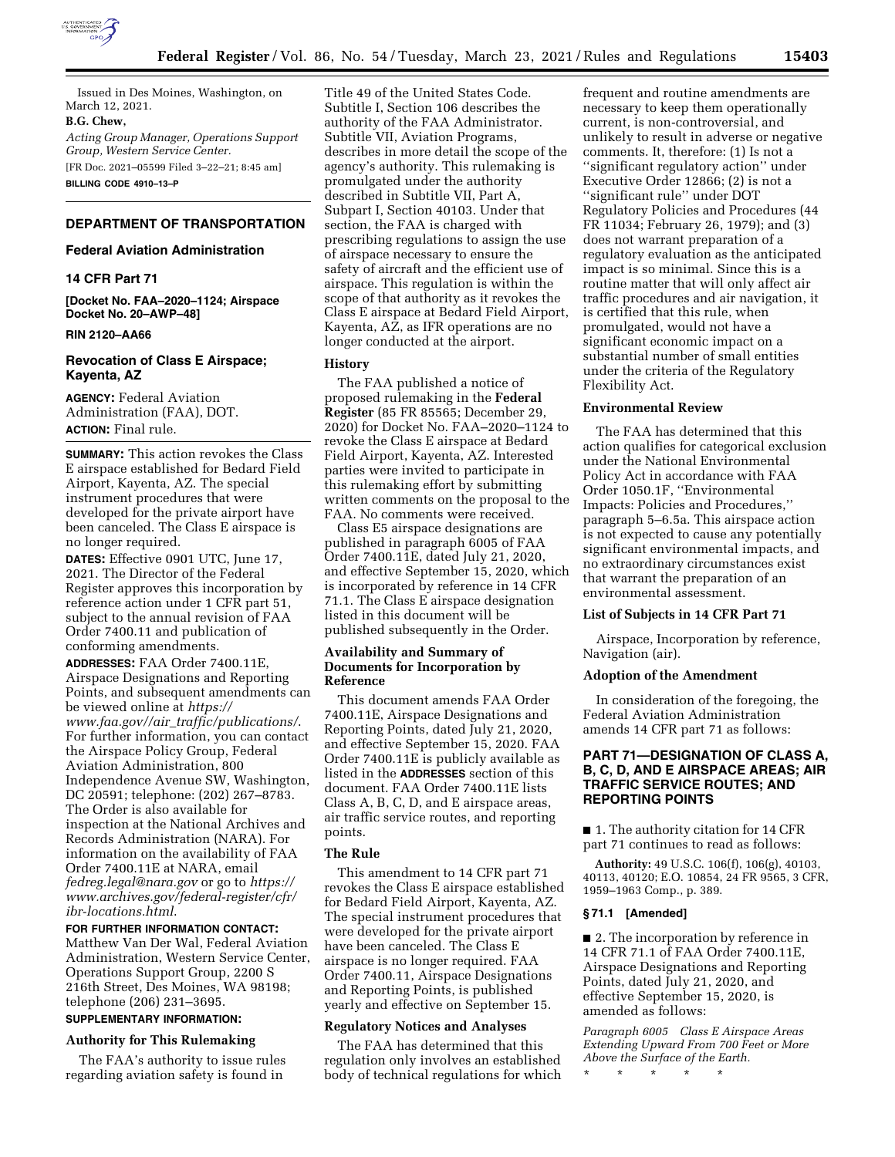

Issued in Des Moines, Washington, on March 12, 2021.

#### **B.G. Chew,**

*Acting Group Manager, Operations Support Group, Western Service Center.*  [FR Doc. 2021–05599 Filed 3–22–21; 8:45 am]

**BILLING CODE 4910–13–P** 

## **DEPARTMENT OF TRANSPORTATION**

### **Federal Aviation Administration**

## **14 CFR Part 71**

**[Docket No. FAA–2020–1124; Airspace Docket No. 20–AWP–48]** 

### **RIN 2120–AA66**

## **Revocation of Class E Airspace; Kayenta, AZ**

**AGENCY:** Federal Aviation Administration (FAA), DOT. **ACTION:** Final rule.

**SUMMARY:** This action revokes the Class E airspace established for Bedard Field Airport, Kayenta, AZ. The special instrument procedures that were developed for the private airport have been canceled. The Class E airspace is no longer required.

**DATES:** Effective 0901 UTC, June 17, 2021. The Director of the Federal Register approves this incorporation by reference action under 1 CFR part 51, subject to the annual revision of FAA Order 7400.11 and publication of conforming amendments.

**ADDRESSES:** FAA Order 7400.11E, Airspace Designations and Reporting Points, and subsequent amendments can be viewed online at *[https://](https://www.faa.gov//air_traffic/publications/) www.faa.gov//air*\_*[traffic/publications/](https://www.faa.gov//air_traffic/publications/)*. For further information, you can contact the Airspace Policy Group, Federal Aviation Administration, 800 Independence Avenue SW, Washington, DC 20591; telephone: (202) 267–8783. The Order is also available for inspection at the National Archives and Records Administration (NARA). For information on the availability of FAA Order 7400.11E at NARA, email *[fedreg.legal@nara.gov](mailto:fedreg.legal@nara.gov)* or go to *[https://](https://www.archives.gov/federal-register/cfr/ibr-locations.html) [www.archives.gov/federal-register/cfr/](https://www.archives.gov/federal-register/cfr/ibr-locations.html)  [ibr-locations.html](https://www.archives.gov/federal-register/cfr/ibr-locations.html)*.

**FOR FURTHER INFORMATION CONTACT:**  Matthew Van Der Wal, Federal Aviation Administration, Western Service Center, Operations Support Group, 2200 S 216th Street, Des Moines, WA 98198; telephone (206) 231–3695.

# **SUPPLEMENTARY INFORMATION:**

### **Authority for This Rulemaking**

The FAA's authority to issue rules regarding aviation safety is found in

Title 49 of the United States Code. Subtitle I, Section 106 describes the authority of the FAA Administrator. Subtitle VII, Aviation Programs, describes in more detail the scope of the agency's authority. This rulemaking is promulgated under the authority described in Subtitle VII, Part A, Subpart I, Section 40103. Under that section, the FAA is charged with prescribing regulations to assign the use of airspace necessary to ensure the safety of aircraft and the efficient use of airspace. This regulation is within the scope of that authority as it revokes the Class E airspace at Bedard Field Airport, Kayenta, AZ, as IFR operations are no longer conducted at the airport.

### **History**

The FAA published a notice of proposed rulemaking in the **Federal Register** (85 FR 85565; December 29, 2020) for Docket No. FAA–2020–1124 to revoke the Class E airspace at Bedard Field Airport, Kayenta, AZ. Interested parties were invited to participate in this rulemaking effort by submitting written comments on the proposal to the FAA. No comments were received.

Class E5 airspace designations are published in paragraph 6005 of FAA Order 7400.11E, dated July 21, 2020, and effective September 15, 2020, which is incorporated by reference in 14 CFR 71.1. The Class E airspace designation listed in this document will be published subsequently in the Order.

## **Availability and Summary of Documents for Incorporation by Reference**

This document amends FAA Order 7400.11E, Airspace Designations and Reporting Points, dated July 21, 2020, and effective September 15, 2020. FAA Order 7400.11E is publicly available as listed in the **ADDRESSES** section of this document. FAA Order 7400.11E lists Class A, B, C, D, and E airspace areas, air traffic service routes, and reporting points.

### **The Rule**

This amendment to 14 CFR part 71 revokes the Class E airspace established for Bedard Field Airport, Kayenta, AZ. The special instrument procedures that were developed for the private airport have been canceled. The Class E airspace is no longer required. FAA Order 7400.11, Airspace Designations and Reporting Points, is published yearly and effective on September 15.

## **Regulatory Notices and Analyses**

The FAA has determined that this regulation only involves an established body of technical regulations for which

frequent and routine amendments are necessary to keep them operationally current, is non-controversial, and unlikely to result in adverse or negative comments. It, therefore: (1) Is not a ''significant regulatory action'' under Executive Order 12866; (2) is not a ''significant rule'' under DOT Regulatory Policies and Procedures (44 FR 11034; February 26, 1979); and (3) does not warrant preparation of a regulatory evaluation as the anticipated impact is so minimal. Since this is a routine matter that will only affect air traffic procedures and air navigation, it is certified that this rule, when promulgated, would not have a significant economic impact on a substantial number of small entities under the criteria of the Regulatory Flexibility Act.

### **Environmental Review**

The FAA has determined that this action qualifies for categorical exclusion under the National Environmental Policy Act in accordance with FAA Order 1050.1F, ''Environmental Impacts: Policies and Procedures,'' paragraph 5–6.5a. This airspace action is not expected to cause any potentially significant environmental impacts, and no extraordinary circumstances exist that warrant the preparation of an environmental assessment.

### **List of Subjects in 14 CFR Part 71**

Airspace, Incorporation by reference, Navigation (air).

### **Adoption of the Amendment**

In consideration of the foregoing, the Federal Aviation Administration amends 14 CFR part 71 as follows:

## **PART 71—DESIGNATION OF CLASS A, B, C, D, AND E AIRSPACE AREAS; AIR TRAFFIC SERVICE ROUTES; AND REPORTING POINTS**

■ 1. The authority citation for 14 CFR part 71 continues to read as follows:

**Authority:** 49 U.S.C. 106(f), 106(g), 40103, 40113, 40120; E.O. 10854, 24 FR 9565, 3 CFR, 1959–1963 Comp., p. 389.

## **§ 71.1 [Amended]**

■ 2. The incorporation by reference in 14 CFR 71.1 of FAA Order 7400.11E, Airspace Designations and Reporting Points, dated July 21, 2020, and effective September 15, 2020, is amended as follows:

*Paragraph 6005 Class E Airspace Areas Extending Upward From 700 Feet or More Above the Surface of the Earth.* 

\* \* \* \* \*